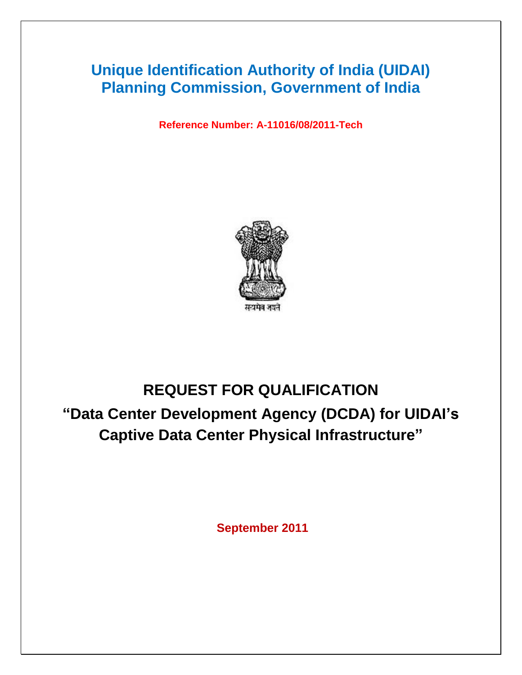# **Unique Identification Authority of India (UIDAI) Planning Commission, Government of India**

**Reference Number: A-11016/08/2011-Tech**



# **REQUEST FOR QUALIFICATION**

**"Data Center Development Agency (DCDA) for UIDAI's Captive Data Center Physical Infrastructure"** 

**September 2011**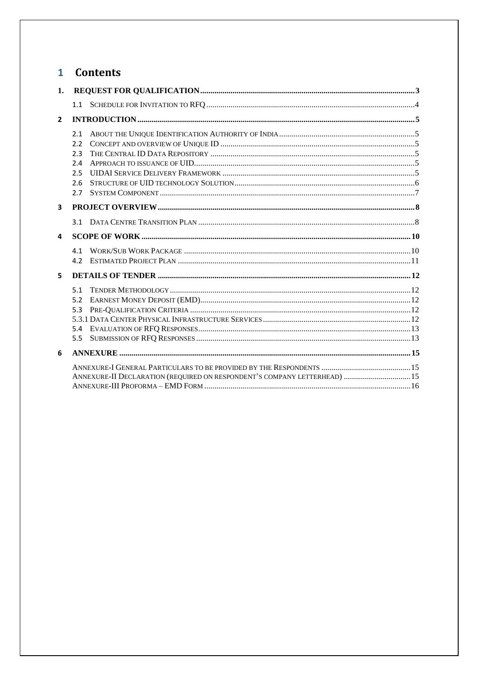## 1 Contents

| 1.                      |                                                                           |  |
|-------------------------|---------------------------------------------------------------------------|--|
|                         |                                                                           |  |
| $\overline{2}$          |                                                                           |  |
|                         | 2.1<br>2.2<br>2.3<br>2.4<br>2.5<br>2.6<br>2.7                             |  |
| $\overline{\mathbf{3}}$ |                                                                           |  |
|                         |                                                                           |  |
| 4                       |                                                                           |  |
|                         | 41<br>4.2                                                                 |  |
| 5                       |                                                                           |  |
|                         | 51<br>5.2<br>5.3<br>5.4<br>5.5                                            |  |
| 6                       |                                                                           |  |
|                         | ANNEXURE-II DECLARATION (REQUIRED ON RESPONDENT'S COMPANY LETTERHEAD)  15 |  |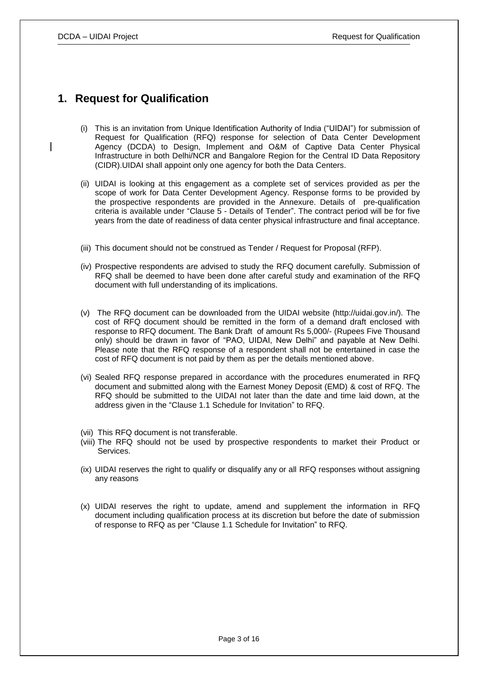### <span id="page-2-0"></span>**1. Request for Qualification**

- (i) This is an invitation from Unique Identification Authority of India ("UIDAI") for submission of Request for Qualification (RFQ) response for selection of Data Center Development Agency (DCDA) to Design, Implement and O&M of Captive Data Center Physical Infrastructure in both Delhi/NCR and Bangalore Region for the Central ID Data Repository (CIDR).UIDAI shall appoint only one agency for both the Data Centers.
- (ii) UIDAI is looking at this engagement as a complete set of services provided as per the scope of work for Data Center Development Agency. Response forms to be provided by the prospective respondents are provided in the Annexure. Details of pre-qualification criteria is available under "Clause 5 - Details of Tender". The contract period will be for five years from the date of readiness of data center physical infrastructure and final acceptance.
- (iii) This document should not be construed as Tender / Request for Proposal (RFP).
- (iv) Prospective respondents are advised to study the RFQ document carefully. Submission of RFQ shall be deemed to have been done after careful study and examination of the RFQ document with full understanding of its implications.
- (v) The RFQ document can be downloaded from the UIDAI website (http://uidai.gov.in/). The cost of RFQ document should be remitted in the form of a demand draft enclosed with response to RFQ document. The Bank Draft of amount Rs 5,000/- (Rupees Five Thousand only) should be drawn in favor of "PAO, UIDAI, New Delhi" and payable at New Delhi. Please note that the RFQ response of a respondent shall not be entertained in case the cost of RFQ document is not paid by them as per the details mentioned above.
- (vi) Sealed RFQ response prepared in accordance with the procedures enumerated in RFQ document and submitted along with the Earnest Money Deposit (EMD) & cost of RFQ. The RFQ should be submitted to the UIDAI not later than the date and time laid down, at the address given in the "Clause 1.1 Schedule for Invitation" to RFQ.
- (vii) This RFQ document is not transferable.
- (viii) The RFQ should not be used by prospective respondents to market their Product or Services.
- (ix) UIDAI reserves the right to qualify or disqualify any or all RFQ responses without assigning any reasons
- (x) UIDAI reserves the right to update, amend and supplement the information in RFQ document including qualification process at its discretion but before the date of submission of response to RFQ as per "Clause 1.1 Schedule for Invitation" to RFQ.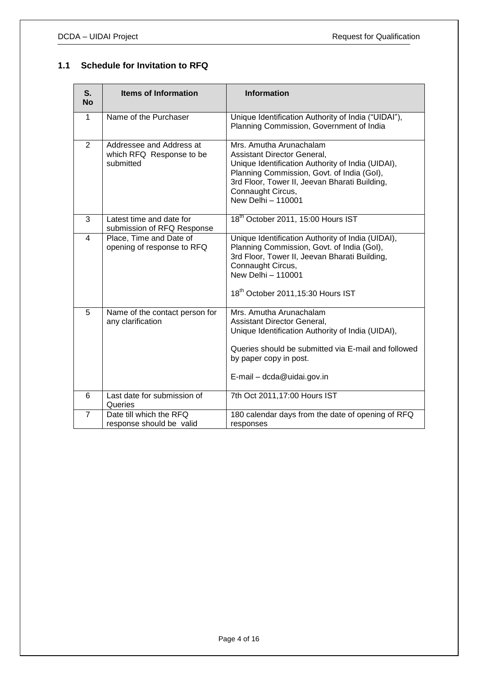### <span id="page-3-0"></span>**1.1 Schedule for Invitation to RFQ**

| S.<br><b>No</b> | <b>Items of Information</b>                                       | <b>Information</b>                                                                                                                                                                                                                                    |  |
|-----------------|-------------------------------------------------------------------|-------------------------------------------------------------------------------------------------------------------------------------------------------------------------------------------------------------------------------------------------------|--|
| 1               | Name of the Purchaser                                             | Unique Identification Authority of India ("UIDAI"),<br>Planning Commission, Government of India                                                                                                                                                       |  |
| $\overline{2}$  | Addressee and Address at<br>which RFQ Response to be<br>submitted | Mrs. Amutha Arunachalam<br>Assistant Director General,<br>Unique Identification Authority of India (UIDAI),<br>Planning Commission, Govt. of India (Gol),<br>3rd Floor, Tower II, Jeevan Bharati Building,<br>Connaught Circus,<br>New Delhi - 110001 |  |
| 3               | Latest time and date for<br>submission of RFQ Response            | 18 <sup>th</sup> October 2011, 15:00 Hours IST                                                                                                                                                                                                        |  |
| 4               | Place, Time and Date of<br>opening of response to RFQ             | Unique Identification Authority of India (UIDAI),<br>Planning Commission, Govt. of India (Gol),<br>3rd Floor, Tower II, Jeevan Bharati Building,<br>Connaught Circus,<br>New Delhi - 110001<br>18th October 2011, 15:30 Hours IST                     |  |
| 5               | Name of the contact person for<br>any clarification               | Mrs. Amutha Arunachalam<br>Assistant Director General,<br>Unique Identification Authority of India (UIDAI),<br>Queries should be submitted via E-mail and followed<br>by paper copy in post.<br>E-mail - dcda@uidai.gov.in                            |  |
| 6               | Last date for submission of<br>Queries                            | 7th Oct 2011, 17:00 Hours IST                                                                                                                                                                                                                         |  |
| $\overline{7}$  | Date till which the RFQ<br>response should be valid               | 180 calendar days from the date of opening of RFQ<br>responses                                                                                                                                                                                        |  |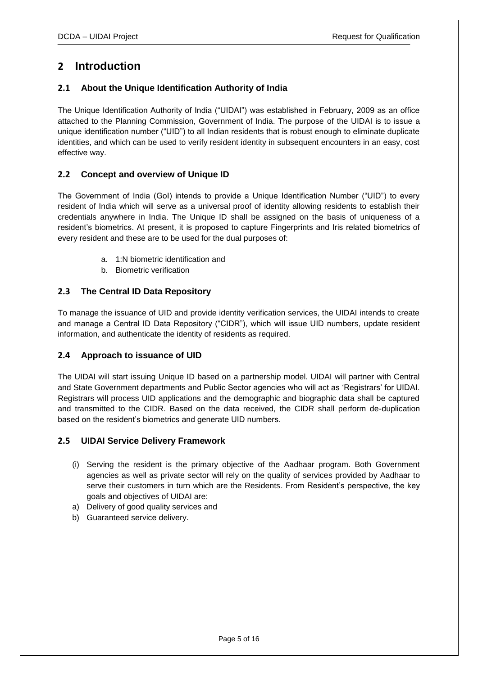### <span id="page-4-0"></span>**2 Introduction**

### <span id="page-4-1"></span>**2.1 About the Unique Identification Authority of India**

The Unique Identification Authority of India ("UIDAI") was established in February, 2009 as an office attached to the Planning Commission, Government of India. The purpose of the UIDAI is to issue a unique identification number ("UID") to all Indian residents that is robust enough to eliminate duplicate identities, and which can be used to verify resident identity in subsequent encounters in an easy, cost effective way.

### <span id="page-4-2"></span>**2.2 Concept and overview of Unique ID**

The Government of India (GoI) intends to provide a Unique Identification Number ("UID") to every resident of India which will serve as a universal proof of identity allowing residents to establish their credentials anywhere in India. The Unique ID shall be assigned on the basis of uniqueness of a resident"s biometrics. At present, it is proposed to capture Fingerprints and Iris related biometrics of every resident and these are to be used for the dual purposes of:

- a. 1:N biometric identification and
- b. Biometric verification

### <span id="page-4-3"></span>**2.3 The Central ID Data Repository**

To manage the issuance of UID and provide identity verification services, the UIDAI intends to create and manage a Central ID Data Repository ("CIDR"), which will issue UID numbers, update resident information, and authenticate the identity of residents as required.

### <span id="page-4-4"></span>**2.4 Approach to issuance of UID**

The UIDAI will start issuing Unique ID based on a partnership model. UIDAI will partner with Central and State Government departments and Public Sector agencies who will act as "Registrars" for UIDAI. Registrars will process UID applications and the demographic and biographic data shall be captured and transmitted to the CIDR. Based on the data received, the CIDR shall perform de-duplication based on the resident"s biometrics and generate UID numbers.

### <span id="page-4-5"></span>**2.5 UIDAI Service Delivery Framework**

- (i) Serving the resident is the primary objective of the Aadhaar program. Both Government agencies as well as private sector will rely on the quality of services provided by Aadhaar to serve their customers in turn which are the Residents. From Resident"s perspective, the key goals and objectives of UIDAI are:
- a) Delivery of good quality services and
- b) Guaranteed service delivery.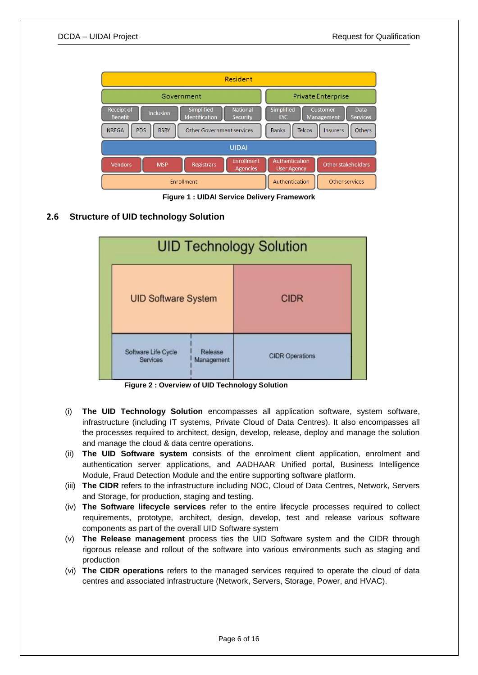

**Figure 1 : UIDAI Service Delivery Framework**

### <span id="page-5-0"></span>**2.6 Structure of UID technology Solution**



 **Figure 2 : Overview of UID Technology Solution**

- (i) **The UID Technology Solution** encompasses all application software, system software, infrastructure (including IT systems, Private Cloud of Data Centres). It also encompasses all the processes required to architect, design, develop, release, deploy and manage the solution and manage the cloud & data centre operations.
- (ii) **The UID Software system** consists of the enrolment client application, enrolment and authentication server applications, and AADHAAR Unified portal, Business Intelligence Module, Fraud Detection Module and the entire supporting software platform.
- (iii) **The CIDR** refers to the infrastructure including NOC, Cloud of Data Centres, Network, Servers and Storage, for production, staging and testing.
- (iv) **The Software lifecycle services** refer to the entire lifecycle processes required to collect requirements, prototype, architect, design, develop, test and release various software components as part of the overall UID Software system
- (v) **The Release management** process ties the UID Software system and the CIDR through rigorous release and rollout of the software into various environments such as staging and production
- (vi) **The CIDR operations** refers to the managed services required to operate the cloud of data centres and associated infrastructure (Network, Servers, Storage, Power, and HVAC).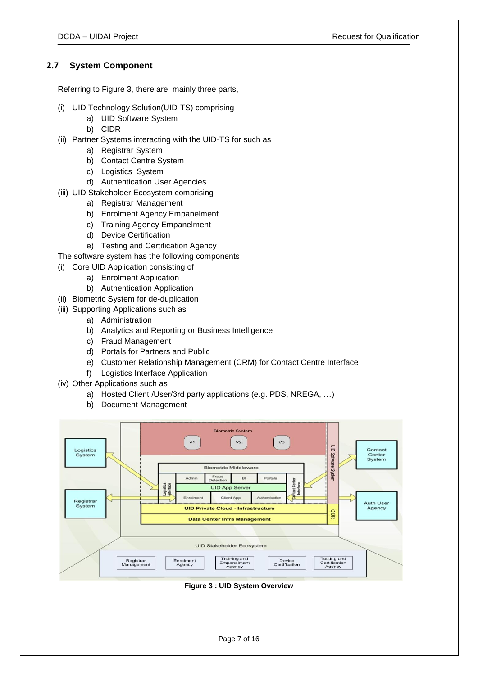### <span id="page-6-0"></span>**2.7 System Component**

Referring to [Figure 3,](#page-6-1) there are mainly three parts,

- (i) UID Technology Solution(UID-TS) comprising
	- a) UID Software System
	- b) CIDR
- (ii) Partner Systems interacting with the UID-TS for such as
	- a) Registrar System
	- b) Contact Centre System
	- c) Logistics System
	- d) Authentication User Agencies
- (iii) UID Stakeholder Ecosystem comprising
	- a) Registrar Management
	- b) Enrolment Agency Empanelment
	- c) Training Agency Empanelment
	- d) Device Certification
	- e) Testing and Certification Agency
- The software system has the following components
- (i) Core UID Application consisting of
	- a) Enrolment Application
		- b) Authentication Application
- (ii) Biometric System for de-duplication
- (iii) Supporting Applications such as
	- a) Administration
	- b) Analytics and Reporting or Business Intelligence
	- c) Fraud Management
	- d) Portals for Partners and Public
	- e) Customer Relationship Management (CRM) for Contact Centre Interface
	- f) Logistics Interface Application
- (iv) Other Applications such as
	- a) Hosted Client /User/3rd party applications (e.g. PDS, NREGA, …)
	- b) Document Management



<span id="page-6-1"></span>**Figure 3 : UID System Overview**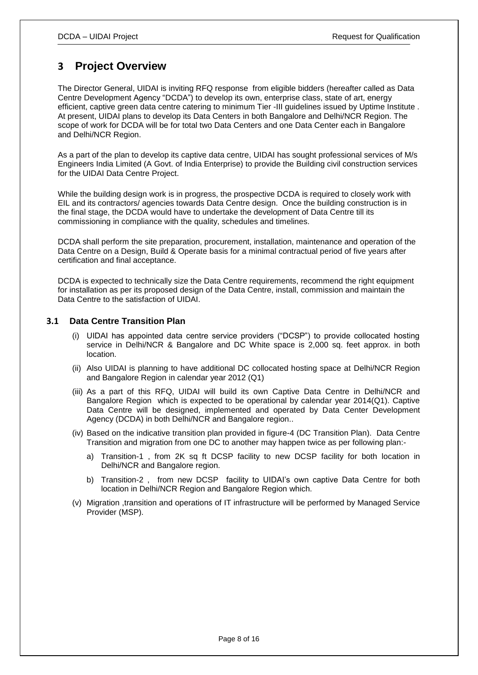### <span id="page-7-0"></span>**3 Project Overview**

The Director General, UIDAI is inviting RFQ response from eligible bidders (hereafter called as Data Centre Development Agency "DCDA") to develop its own, enterprise class, state of art, energy efficient, captive green data centre catering to minimum Tier -III guidelines issued by Uptime Institute. At present, UIDAI plans to develop its Data Centers in both Bangalore and Delhi/NCR Region. The scope of work for DCDA will be for total two Data Centers and one Data Center each in Bangalore and Delhi/NCR Region.

As a part of the plan to develop its captive data centre, UIDAI has sought professional services of M/s Engineers India Limited (A Govt. of India Enterprise) to provide the Building civil construction services for the UIDAI Data Centre Project.

While the building design work is in progress, the prospective DCDA is required to closely work with EIL and its contractors/ agencies towards Data Centre design. Once the building construction is in the final stage, the DCDA would have to undertake the development of Data Centre till its commissioning in compliance with the quality, schedules and timelines.

DCDA shall perform the site preparation, procurement, installation, maintenance and operation of the Data Centre on a Design, Build & Operate basis for a minimal contractual period of five years after certification and final acceptance.

DCDA is expected to technically size the Data Centre requirements, recommend the right equipment for installation as per its proposed design of the Data Centre, install, commission and maintain the Data Centre to the satisfaction of UIDAI.

#### <span id="page-7-1"></span>**3.1 Data Centre Transition Plan**

- (i) UIDAI has appointed data centre service providers ("DCSP") to provide collocated hosting service in Delhi/NCR & Bangalore and DC White space is 2,000 sq. feet approx. in both location.
- (ii) Also UIDAI is planning to have additional DC collocated hosting space at Delhi/NCR Region and Bangalore Region in calendar year 2012 (Q1)
- (iii) As a part of this RFQ, UIDAI will build its own Captive Data Centre in Delhi/NCR and Bangalore Region which is expected to be operational by calendar year 2014(Q1). Captive Data Centre will be designed, implemented and operated by Data Center Development Agency (DCDA) in both Delhi/NCR and Bangalore region..
- (iv) Based on the indicative transition plan provided in figure-4 (DC Transition Plan). Data Centre Transition and migration from one DC to another may happen twice as per following plan:
	- a) Transition-1 , from 2K sq ft DCSP facility to new DCSP facility for both location in Delhi/NCR and Bangalore region.
	- b) Transition-2, from new DCSP facility to UIDAI's own captive Data Centre for both location in Delhi/NCR Region and Bangalore Region which.
- (v) Migration ,transition and operations of IT infrastructure will be performed by Managed Service Provider (MSP).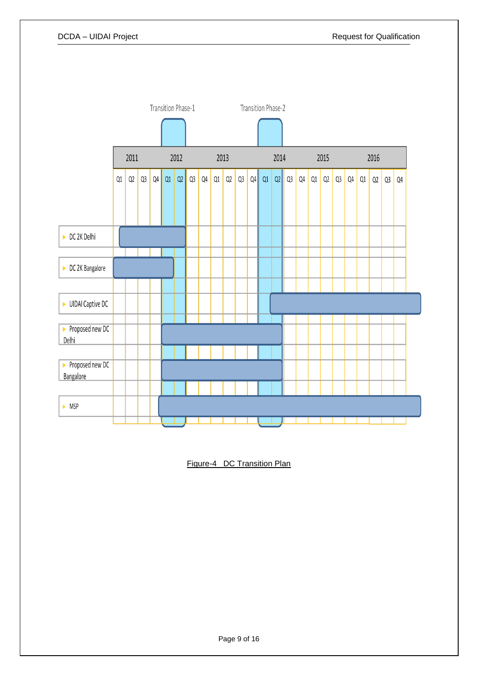

Figure-4 DC Transition Plan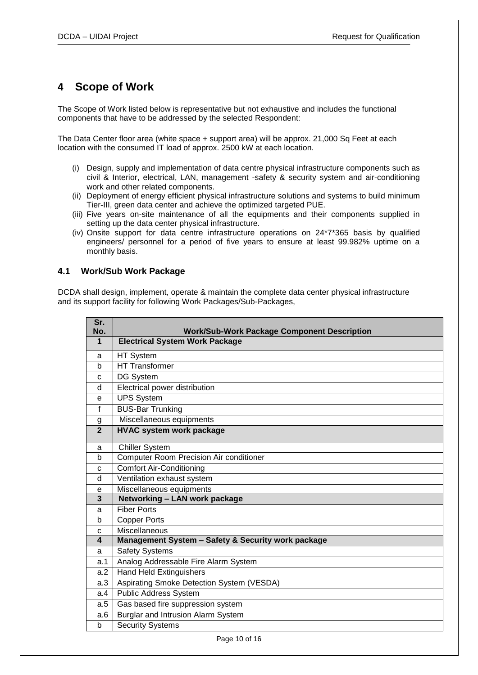### <span id="page-9-0"></span>**4 Scope of Work**

The Scope of Work listed below is representative but not exhaustive and includes the functional components that have to be addressed by the selected Respondent:

The Data Center floor area (white space + support area) will be approx. 21,000 Sq Feet at each location with the consumed IT load of approx. 2500 kW at each location.

- (i) Design, supply and implementation of data centre physical infrastructure components such as civil & Interior, electrical, LAN, management -safety & security system and air-conditioning work and other related components.
- (ii) Deployment of energy efficient physical infrastructure solutions and systems to build minimum Tier-III, green data center and achieve the optimized targeted PUE.
- (iii) Five years on-site maintenance of all the equipments and their components supplied in setting up the data center physical infrastructure.
- (iv) Onsite support for data centre infrastructure operations on 24\*7\*365 basis by qualified engineers/ personnel for a period of five years to ensure at least 99.982% uptime on a monthly basis.

#### <span id="page-9-1"></span>**4.1 Work/Sub Work Package**

DCDA shall design, implement, operate & maintain the complete data center physical infrastructure and its support facility for following Work Packages/Sub-Packages,

| Sr.<br>No.     | <b>Work/Sub-Work Package Component Description</b> |  |
|----------------|----------------------------------------------------|--|
| 1              | <b>Electrical System Work Package</b>              |  |
| a              | HT System                                          |  |
| b              | <b>HT Transformer</b>                              |  |
| c              | DG System                                          |  |
| d              | Electrical power distribution                      |  |
| e              | <b>UPS System</b>                                  |  |
| f              | <b>BUS-Bar Trunking</b>                            |  |
| g              | Miscellaneous equipments                           |  |
| $\overline{2}$ | <b>HVAC system work package</b>                    |  |
| a              | <b>Chiller System</b>                              |  |
| b              | Computer Room Precision Air conditioner            |  |
| c              | <b>Comfort Air-Conditioning</b>                    |  |
| d              | Ventilation exhaust system                         |  |
| e              | Miscellaneous equipments                           |  |
| 3              | Networking - LAN work package                      |  |
| a              | <b>Fiber Ports</b>                                 |  |
| b              | <b>Copper Ports</b>                                |  |
| C              | Miscellaneous                                      |  |
| 4              | Management System - Safety & Security work package |  |
| a              | <b>Safety Systems</b>                              |  |
| a.1            | Analog Addressable Fire Alarm System               |  |
| a.2            | <b>Hand Held Extinguishers</b>                     |  |
| a.3            | Aspirating Smoke Detection System (VESDA)          |  |
| a.4            | <b>Public Address System</b>                       |  |
| a.5            | Gas based fire suppression system                  |  |
| a.6            | Burglar and Intrusion Alarm System                 |  |
| b              | <b>Security Systems</b>                            |  |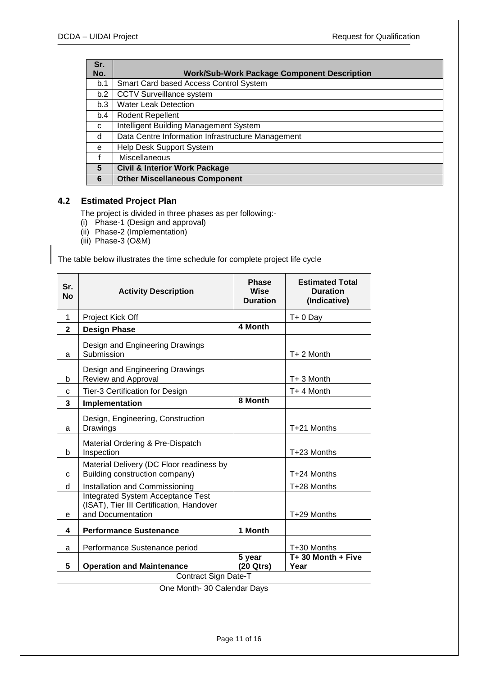| Sr. |                                                    |  |
|-----|----------------------------------------------------|--|
| No. | <b>Work/Sub-Work Package Component Description</b> |  |
| b.1 | Smart Card based Access Control System             |  |
| b.2 | <b>CCTV Surveillance system</b>                    |  |
| b.3 | <b>Water Leak Detection</b>                        |  |
| b.4 | Rodent Repellent                                   |  |
| C   | Intelligent Building Management System             |  |
| d   | Data Centre Information Infrastructure Management  |  |
| e   | Help Desk Support System                           |  |
|     | <b>Miscellaneous</b>                               |  |
| 5   | <b>Civil &amp; Interior Work Package</b>           |  |
| 6   | <b>Other Miscellaneous Component</b>               |  |

### <span id="page-10-0"></span>**4.2 Estimated Project Plan**

The project is divided in three phases as per following:-

- (i) Phase-1 (Design and approval)
- (ii) Phase-2 (Implementation)
- (iii) Phase-3 (O&M)

The table below illustrates the time schedule for complete project life cycle

| Sr.<br><b>No</b>            | <b>Activity Description</b>                                                                               | <b>Phase</b><br><b>Wise</b><br><b>Duration</b> | <b>Estimated Total</b><br><b>Duration</b><br>(Indicative) |
|-----------------------------|-----------------------------------------------------------------------------------------------------------|------------------------------------------------|-----------------------------------------------------------|
| 1                           | Project Kick Off                                                                                          |                                                | $T + 0$ Day                                               |
| $\mathbf{2}$                | <b>Design Phase</b>                                                                                       | 4 Month                                        |                                                           |
| a                           | Design and Engineering Drawings<br>Submission                                                             |                                                | T+ 2 Month                                                |
| b                           | Design and Engineering Drawings<br>Review and Approval                                                    |                                                | T+ 3 Month                                                |
| C                           | Tier-3 Certification for Design                                                                           |                                                | T+ 4 Month                                                |
| 3                           | Implementation                                                                                            | 8 Month                                        |                                                           |
| a                           | Design, Engineering, Construction<br>Drawings                                                             |                                                | T+21 Months                                               |
| b                           | Material Ordering & Pre-Dispatch<br>Inspection                                                            |                                                | T+23 Months                                               |
| C                           | Material Delivery (DC Floor readiness by<br>Building construction company)                                |                                                | T+24 Months                                               |
| d                           | Installation and Commissioning                                                                            |                                                | T+28 Months                                               |
| е                           | <b>Integrated System Acceptance Test</b><br>(ISAT), Tier III Certification, Handover<br>and Documentation |                                                | T+29 Months                                               |
| 4                           | <b>Performance Sustenance</b>                                                                             | 1 Month                                        |                                                           |
| a                           | Performance Sustenance period                                                                             |                                                | T+30 Months                                               |
| 5                           | <b>Operation and Maintenance</b>                                                                          | 5 year<br>(20 Qtrs)                            | T+30 Month + Five<br>Year                                 |
| Contract Sign Date-T        |                                                                                                           |                                                |                                                           |
| One Month- 30 Calendar Days |                                                                                                           |                                                |                                                           |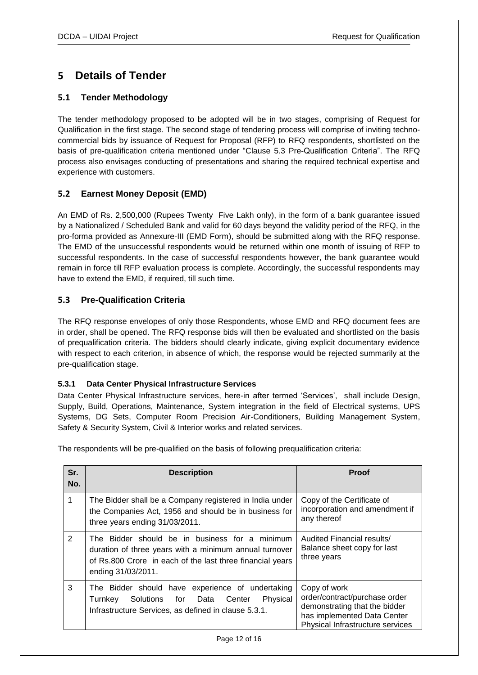## <span id="page-11-0"></span>**5 Details of Tender**

### <span id="page-11-1"></span>**5.1 Tender Methodology**

The tender methodology proposed to be adopted will be in two stages, comprising of Request for Qualification in the first stage. The second stage of tendering process will comprise of inviting technocommercial bids by issuance of Request for Proposal (RFP) to RFQ respondents, shortlisted on the basis of pre-qualification criteria mentioned under "Clause 5.3 Pre-Qualification Criteria". The RFQ process also envisages conducting of presentations and sharing the required technical expertise and experience with customers.

### <span id="page-11-2"></span>**5.2 Earnest Money Deposit (EMD)**

An EMD of Rs. 2,500,000 (Rupees Twenty Five Lakh only), in the form of a bank guarantee issued by a Nationalized / Scheduled Bank and valid for 60 days beyond the validity period of the RFQ, in the pro-forma provided as Annexure-III (EMD Form), should be submitted along with the RFQ response. The EMD of the unsuccessful respondents would be returned within one month of issuing of RFP to successful respondents. In the case of successful respondents however, the bank guarantee would remain in force till RFP evaluation process is complete. Accordingly, the successful respondents may have to extend the EMD, if required, till such time.

### <span id="page-11-3"></span>**5.3 Pre-Qualification Criteria**

The RFQ response envelopes of only those Respondents, whose EMD and RFQ document fees are in order, shall be opened. The RFQ response bids will then be evaluated and shortlisted on the basis of prequalification criteria. The bidders should clearly indicate, giving explicit documentary evidence with respect to each criterion, in absence of which, the response would be rejected summarily at the pre-qualification stage.

### <span id="page-11-4"></span>**5.3.1 Data Center Physical Infrastructure Services**

Data Center Physical Infrastructure services, here-in after termed "Services", shall include Design, Supply, Build, Operations, Maintenance, System integration in the field of Electrical systems, UPS Systems, DG Sets, Computer Room Precision Air-Conditioners, Building Management System, Safety & Security System, Civil & Interior works and related services.

The respondents will be pre-qualified on the basis of following prequalification criteria:

| Sr.<br>No. | <b>Description</b>                                                                                                                                                                          | <b>Proof</b>                                                                                                                                      |
|------------|---------------------------------------------------------------------------------------------------------------------------------------------------------------------------------------------|---------------------------------------------------------------------------------------------------------------------------------------------------|
| 1          | The Bidder shall be a Company registered in India under<br>the Companies Act, 1956 and should be in business for<br>three years ending 31/03/2011.                                          | Copy of the Certificate of<br>incorporation and amendment if<br>any thereof                                                                       |
| 2          | The Bidder should be in business for a minimum<br>duration of three years with a minimum annual turnover<br>of Rs.800 Crore in each of the last three financial years<br>ending 31/03/2011. | Audited Financial results/<br>Balance sheet copy for last<br>three years                                                                          |
| 3          | The Bidder should have experience of undertaking<br>Physical<br>Solutions for Data<br>Turnkey<br>Center<br>Infrastructure Services, as defined in clause 5.3.1.                             | Copy of work<br>order/contract/purchase order<br>demonstrating that the bidder<br>has implemented Data Center<br>Physical Infrastructure services |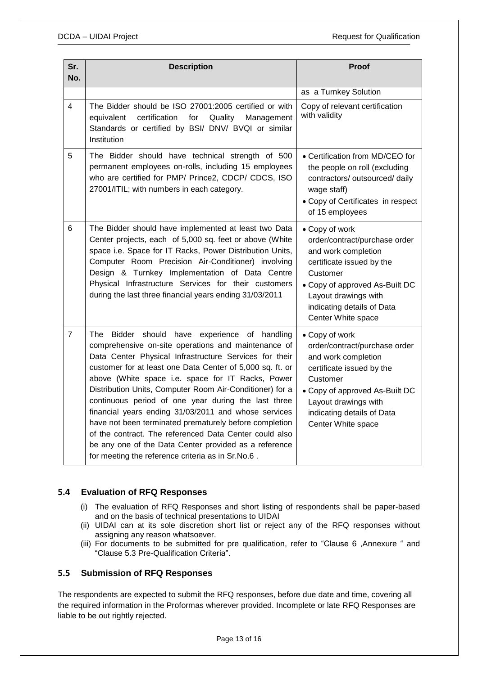| Sr.<br>No.              | <b>Description</b>                                                                                                                                                                                                                                                                                                                                                                                                                                                                                                                                                                                                                                                                            | Proof                                                                                                                                                                                                                         |
|-------------------------|-----------------------------------------------------------------------------------------------------------------------------------------------------------------------------------------------------------------------------------------------------------------------------------------------------------------------------------------------------------------------------------------------------------------------------------------------------------------------------------------------------------------------------------------------------------------------------------------------------------------------------------------------------------------------------------------------|-------------------------------------------------------------------------------------------------------------------------------------------------------------------------------------------------------------------------------|
|                         |                                                                                                                                                                                                                                                                                                                                                                                                                                                                                                                                                                                                                                                                                               | as a Turnkey Solution                                                                                                                                                                                                         |
| $\overline{\mathbf{4}}$ | The Bidder should be ISO 27001:2005 certified or with<br>equivalent<br>certification<br>Quality<br>for<br>Management<br>Standards or certified by BSI/ DNV/ BVQI or similar<br>Institution                                                                                                                                                                                                                                                                                                                                                                                                                                                                                                    | Copy of relevant certification<br>with validity                                                                                                                                                                               |
| 5                       | The Bidder should have technical strength of 500<br>permanent employees on-rolls, including 15 employees<br>who are certified for PMP/ Prince2, CDCP/ CDCS, ISO<br>27001/ITIL; with numbers in each category.                                                                                                                                                                                                                                                                                                                                                                                                                                                                                 | • Certification from MD/CEO for<br>the people on roll (excluding<br>contractors/ outsourced/ daily<br>wage staff)<br>• Copy of Certificates in respect<br>of 15 employees                                                     |
| 6                       | The Bidder should have implemented at least two Data<br>Center projects, each of 5,000 sq. feet or above (White<br>space i.e. Space for IT Racks, Power Distribution Units,<br>Computer Room Precision Air-Conditioner) involving<br>Design & Turnkey Implementation of Data Centre<br>Physical Infrastructure Services for their customers<br>during the last three financial years ending 31/03/2011                                                                                                                                                                                                                                                                                        | • Copy of work<br>order/contract/purchase order<br>and work completion<br>certificate issued by the<br>Customer<br>• Copy of approved As-Built DC<br>Layout drawings with<br>indicating details of Data<br>Center White space |
| $\overline{7}$          | The Bidder should have experience of handling<br>comprehensive on-site operations and maintenance of<br>Data Center Physical Infrastructure Services for their<br>customer for at least one Data Center of 5,000 sq. ft. or<br>above (White space i.e. space for IT Racks, Power<br>Distribution Units, Computer Room Air-Conditioner) for a<br>continuous period of one year during the last three<br>financial years ending 31/03/2011 and whose services<br>have not been terminated prematurely before completion<br>of the contract. The referenced Data Center could also<br>be any one of the Data Center provided as a reference<br>for meeting the reference criteria as in Sr.No.6. | • Copy of work<br>order/contract/purchase order<br>and work completion<br>certificate issued by the<br>Customer<br>• Copy of approved As-Built DC<br>Layout drawings with<br>indicating details of Data<br>Center White space |

### <span id="page-12-0"></span>**5.4 Evaluation of RFQ Responses**

- (i) The evaluation of RFQ Responses and short listing of respondents shall be paper-based and on the basis of technical presentations to UIDAI
- (ii) UIDAI can at its sole discretion short list or reject any of the RFQ responses without assigning any reason whatsoever.
- (iii) For documents to be submitted for pre qualification, refer to "Clause 6 ,Annexure " and "Clause 5.3 Pre-Qualification Criteria".

### <span id="page-12-1"></span>**5.5 Submission of RFQ Responses**

The respondents are expected to submit the RFQ responses, before due date and time, covering all the required information in the Proformas wherever provided. Incomplete or late RFQ Responses are liable to be out rightly rejected.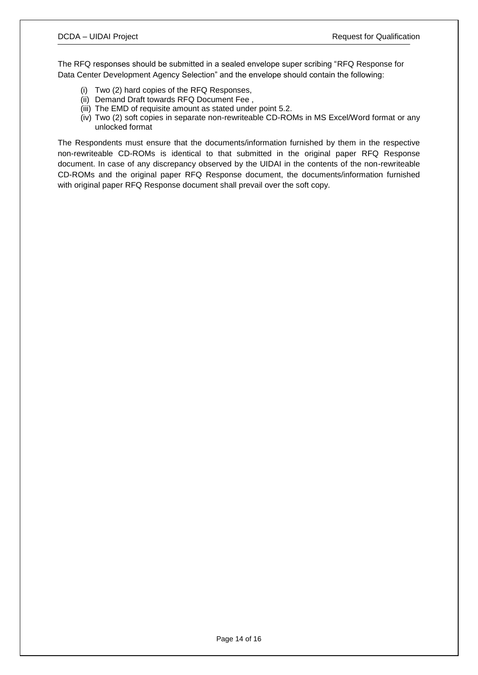The RFQ responses should be submitted in a sealed envelope super scribing "RFQ Response for Data Center Development Agency Selection" and the envelope should contain the following:

- (i) Two (2) hard copies of the RFQ Responses,
- (ii) Demand Draft towards RFQ Document Fee ,
- (iii) The EMD of requisite amount as stated under point 5.2.
- (iv) Two (2) soft copies in separate non-rewriteable CD-ROMs in MS Excel/Word format or any unlocked format

The Respondents must ensure that the documents/information furnished by them in the respective non-rewriteable CD-ROMs is identical to that submitted in the original paper RFQ Response document. In case of any discrepancy observed by the UIDAI in the contents of the non-rewriteable CD-ROMs and the original paper RFQ Response document, the documents/information furnished with original paper RFQ Response document shall prevail over the soft copy.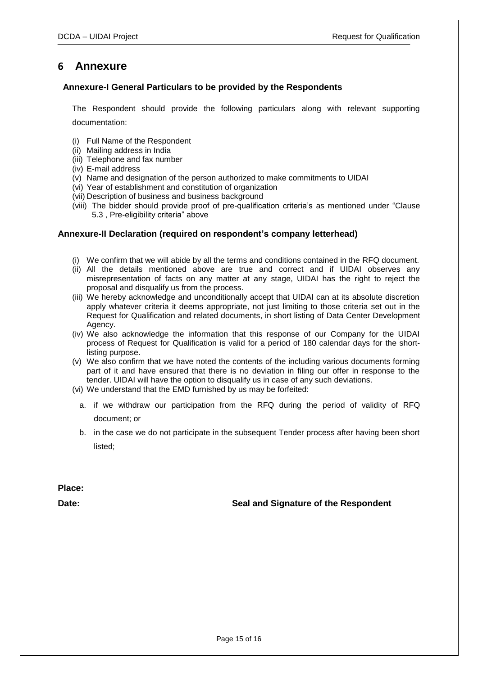### <span id="page-14-0"></span>**6 Annexure**

#### <span id="page-14-1"></span> **Annexure-I General Particulars to be provided by the Respondents**

The Respondent should provide the following particulars along with relevant supporting documentation:

(i) Full Name of the Respondent

- (ii) Mailing address in India
- (iii) Telephone and fax number
- (iv) E-mail address
- (v) Name and designation of the person authorized to make commitments to UIDAI
- (vi) Year of establishment and constitution of organization
- (vii) Description of business and business background
- (viii) The bidder should provide proof of pre-qualification criteria's as mentioned under "Clause 5.3 , Pre-eligibility criteria" above

#### <span id="page-14-2"></span>**Annexure-II Declaration (required on respondent's company letterhead)**

- (i) We confirm that we will abide by all the terms and conditions contained in the RFQ document.
- (ii) All the details mentioned above are true and correct and if UIDAI observes any misrepresentation of facts on any matter at any stage, UIDAI has the right to reject the proposal and disqualify us from the process.
- (iii) We hereby acknowledge and unconditionally accept that UIDAI can at its absolute discretion apply whatever criteria it deems appropriate, not just limiting to those criteria set out in the Request for Qualification and related documents, in short listing of Data Center Development Agency.
- (iv) We also acknowledge the information that this response of our Company for the UIDAI process of Request for Qualification is valid for a period of 180 calendar days for the shortlisting purpose.
- (v) We also confirm that we have noted the contents of the including various documents forming part of it and have ensured that there is no deviation in filing our offer in response to the tender. UIDAI will have the option to disqualify us in case of any such deviations.
- (vi) We understand that the EMD furnished by us may be forfeited:
	- a. if we withdraw our participation from the RFQ during the period of validity of RFQ document; or
	- b. in the case we do not participate in the subsequent Tender process after having been short listed;

**Place:**

Date: **Date:** Seal and Signature of the Respondent